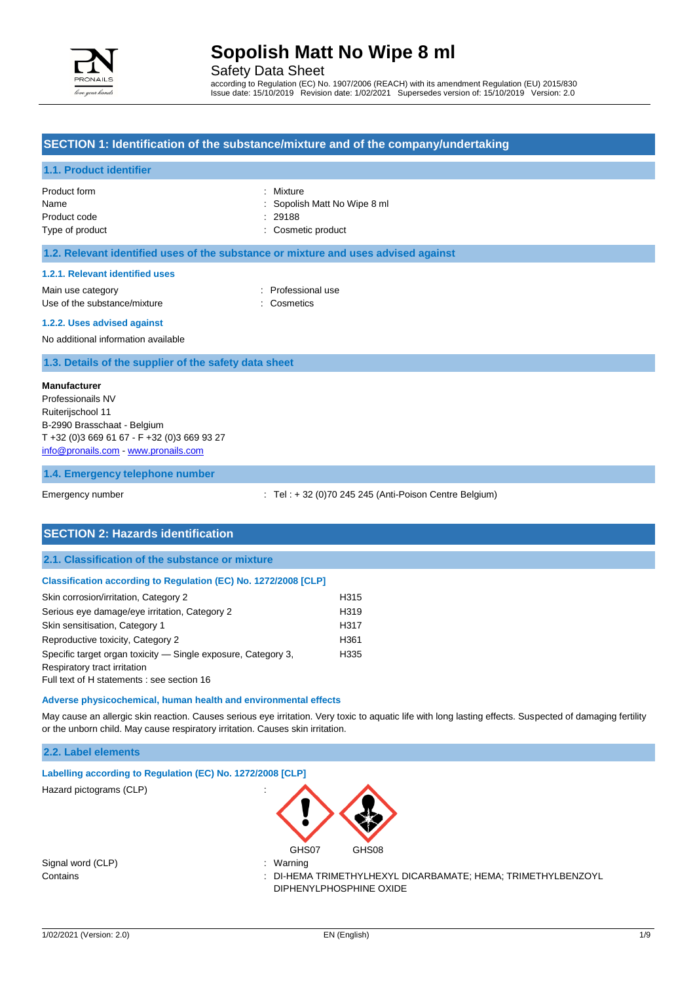

Safety Data Sheet

according to Regulation (EC) No. 1907/2006 (REACH) with its amendment Regulation (EU) 2015/830 Issue date: 15/10/2019 Revision date: 1/02/2021 Supersedes version of: 15/10/2019 Version: 2.0

## **SECTION 1: Identification of the substance/mixture and of the company/undertaking**

#### **1.1. Product identifier**

| Product form    | : Mixture                    |
|-----------------|------------------------------|
| Name            | : Sopolish Matt No Wipe 8 ml |
| Product code    | : 29188                      |
| Type of product | : Cosmetic product           |
|                 |                              |

### **1.2. Relevant identified uses of the substance or mixture and uses advised against**

#### **1.2.1. Relevant identified uses**

Main use category **Example 20** and the Professional use Use of the substance/mixture : Cosmetics

#### **1.2.2. Uses advised against**

No additional information available

### **1.3. Details of the supplier of the safety data sheet**

#### **Manufacturer**

Professionails NV Ruiterijschool 11 B-2990 Brasschaat - Belgium T +32 (0)3 669 61 67 - F +32 (0)3 669 93 27 [info@pronails.com](mailto:info@pronails.com) - <www.pronails.com>

#### **1.4. Emergency telephone number**

Emergency number : Tel : + 32 (0)70 245 245 (Anti-Poison Centre Belgium)

### **SECTION 2: Hazards identification**

### **2.1. Classification of the substance or mixture**

#### **Classification according to Regulation (EC) No. 1272/2008 [CLP]**

| Skin corrosion/irritation, Category 2                         | H315             |
|---------------------------------------------------------------|------------------|
| Serious eye damage/eye irritation, Category 2                 | H <sub>319</sub> |
| Skin sensitisation, Category 1                                | H317             |
| Reproductive toxicity, Category 2                             | H <sub>361</sub> |
| Specific target organ toxicity — Single exposure, Category 3, | H335             |
| Respiratory tract irritation                                  |                  |
| Full text of H statements : see section 16                    |                  |

#### **Adverse physicochemical, human health and environmental effects**

May cause an allergic skin reaction. Causes serious eye irritation. Very toxic to aquatic life with long lasting effects. Suspected of damaging fertility or the unborn child. May cause respiratory irritation. Causes skin irritation.

#### **2.2. Label elements**

| Labelling according to Regulation (EC) No. 1272/2008 [CLP] |                                   |  |
|------------------------------------------------------------|-----------------------------------|--|
| Hazard pictograms (CLP)                                    | $\cdot$<br>$\cdot$<br>$\bigwedge$ |  |

Signal word (CLP) : Warning

Contains : DI-HEMA TRIMETHYLHEXYL DICARBAMATE; HEMA; TRIMETHYLBENZOYL DIPHENYLPHOSPHINE OXIDE

GHS07 GHS08

3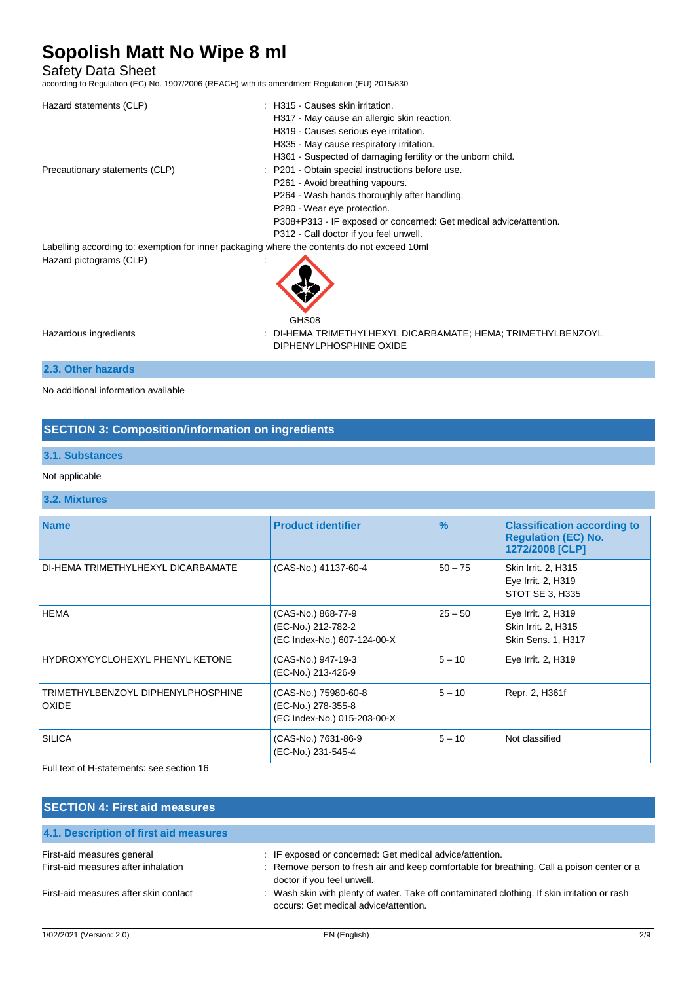Safety Data Sheet

according to Regulation (EC) No. 1907/2006 (REACH) with its amendment Regulation (EU) 2015/830

| Hazard statements (CLP)                                                                     | : H315 - Causes skin irritation.                                                        |
|---------------------------------------------------------------------------------------------|-----------------------------------------------------------------------------------------|
|                                                                                             | H317 - May cause an allergic skin reaction.                                             |
|                                                                                             | H319 - Causes serious eye irritation.                                                   |
|                                                                                             | H335 - May cause respiratory irritation.                                                |
|                                                                                             | H361 - Suspected of damaging fertility or the unborn child.                             |
| Precautionary statements (CLP)                                                              | : P201 - Obtain special instructions before use.                                        |
|                                                                                             | P261 - Avoid breathing vapours.                                                         |
|                                                                                             | P264 - Wash hands thoroughly after handling.                                            |
|                                                                                             | P280 - Wear eye protection.                                                             |
|                                                                                             | P308+P313 - IF exposed or concerned: Get medical advice/attention.                      |
|                                                                                             | P312 - Call doctor if you feel unwell.                                                  |
| Labelling according to: exemption for inner packaging where the contents do not exceed 10ml |                                                                                         |
| Hazard pictograms (CLP)                                                                     |                                                                                         |
|                                                                                             | GHS08                                                                                   |
| Hazardous ingredients                                                                       | : DI-HEMA TRIMETHYLHEXYL DICARBAMATE; HEMA; TRIMETHYLBENZOYL<br>DIPHENYLPHOSPHINE OXIDE |
| 2.3. Other hazards                                                                          |                                                                                         |

No additional information available

## **SECTION 3: Composition/information on ingredients**

### **3.1. Substances**

#### Not applicable

### **3.2. Mixtures**

| <b>Name</b>                                        | <b>Product identifier</b>                                                 | $\frac{9}{6}$ | <b>Classification according to</b><br><b>Regulation (EC) No.</b><br>1272/2008 [CLP] |
|----------------------------------------------------|---------------------------------------------------------------------------|---------------|-------------------------------------------------------------------------------------|
| DI-HEMA TRIMETHYLHEXYL DICARBAMATE                 | (CAS-No.) 41137-60-4                                                      | $50 - 75$     | Skin Irrit. 2, H315<br>Eye Irrit. 2, H319<br>STOT SE 3, H335                        |
| <b>HEMA</b>                                        | (CAS-No.) 868-77-9<br>(EC-No.) 212-782-2<br>(EC Index-No.) 607-124-00-X   | $25 - 50$     | Eye Irrit. 2, H319<br>Skin Irrit. 2, H315<br>Skin Sens. 1, H317                     |
| HYDROXYCYCLOHEXYL PHENYL KETONE                    | (CAS-No.) 947-19-3<br>(EC-No.) 213-426-9                                  | $5 - 10$      | Eye Irrit. 2, H319                                                                  |
| TRIMETHYLBENZOYL DIPHENYLPHOSPHINE<br><b>OXIDE</b> | (CAS-No.) 75980-60-8<br>(EC-No.) 278-355-8<br>(EC Index-No.) 015-203-00-X | $5 - 10$      | Repr. 2, H361f                                                                      |
| <b>SILICA</b>                                      | (CAS-No.) 7631-86-9<br>(EC-No.) 231-545-4                                 | $5 - 10$      | Not classified                                                                      |

Full text of H-statements: see section 16

| IF exposed or concerned: Get medical advice/attention.                                                                                |
|---------------------------------------------------------------------------------------------------------------------------------------|
| : Remove person to fresh air and keep comfortable for breathing. Call a poison center or a<br>doctor if you feel unwell.              |
| : Wash skin with plenty of water. Take off contaminated clothing. If skin irritation or rash<br>occurs: Get medical advice/attention. |
|                                                                                                                                       |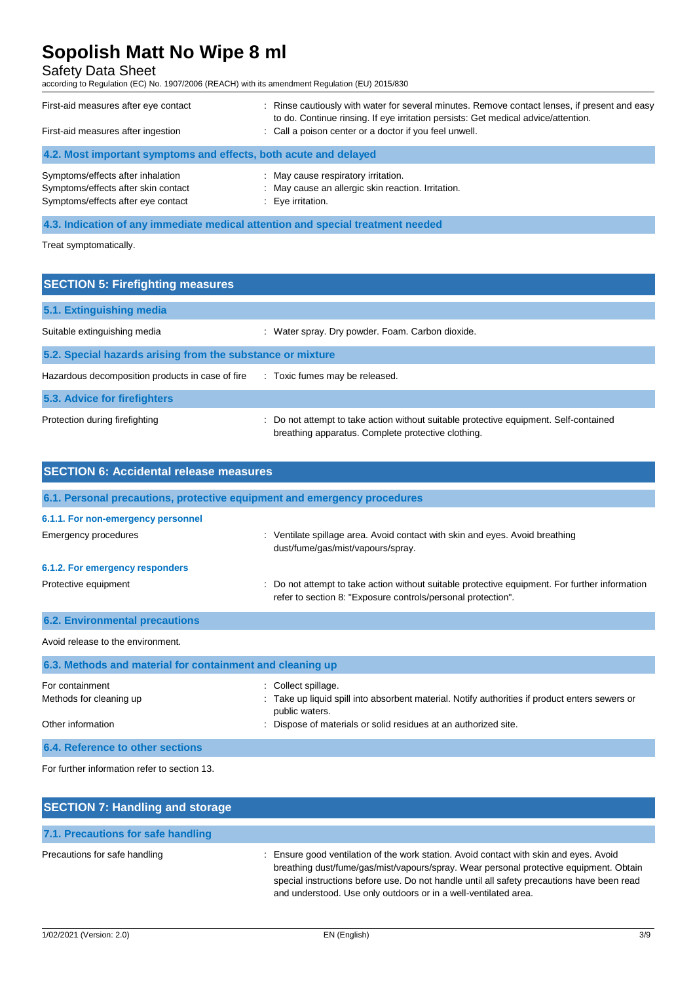## Safety Data Sheet

according to Regulation (EC) No. 1907/2006 (REACH) with its amendment Regulation (EU) 2015/830

| First-aid measures after eye contact<br>First-aid measures after ingestion                                     | : Rinse cautiously with water for several minutes. Remove contact lenses, if present and easy<br>to do. Continue rinsing. If eye irritation persists: Get medical advice/attention.<br>: Call a poison center or a doctor if you feel unwell. |
|----------------------------------------------------------------------------------------------------------------|-----------------------------------------------------------------------------------------------------------------------------------------------------------------------------------------------------------------------------------------------|
| 4.2. Most important symptoms and effects, both acute and delayed                                               |                                                                                                                                                                                                                                               |
| Symptoms/effects after inhalation<br>Symptoms/effects after skin contact<br>Symptoms/effects after eye contact | : May cause respiratory irritation.<br>: May cause an allergic skin reaction. Irritation.<br>: Eye irritation.                                                                                                                                |

**4.3. Indication of any immediate medical attention and special treatment needed**

Treat symptomatically.

| <b>SECTION 5: Firefighting measures</b>                    |                                                                                                                                             |  |
|------------------------------------------------------------|---------------------------------------------------------------------------------------------------------------------------------------------|--|
| 5.1. Extinguishing media                                   |                                                                                                                                             |  |
| Suitable extinguishing media                               | : Water spray. Dry powder. Foam. Carbon dioxide.                                                                                            |  |
| 5.2. Special hazards arising from the substance or mixture |                                                                                                                                             |  |
| Hazardous decomposition products in case of fire           | : Toxic fumes may be released.                                                                                                              |  |
| 5.3. Advice for firefighters                               |                                                                                                                                             |  |
| Protection during firefighting                             | : Do not attempt to take action without suitable protective equipment. Self-contained<br>breathing apparatus. Complete protective clothing. |  |

| <b>SECTION 6: Accidental release measures</b>             |                                                                                                                                                                    |
|-----------------------------------------------------------|--------------------------------------------------------------------------------------------------------------------------------------------------------------------|
|                                                           | 6.1. Personal precautions, protective equipment and emergency procedures                                                                                           |
| 6.1.1. For non-emergency personnel                        |                                                                                                                                                                    |
| Emergency procedures                                      | : Ventilate spillage area. Avoid contact with skin and eyes. Avoid breathing<br>dust/fume/gas/mist/vapours/spray.                                                  |
| 6.1.2. For emergency responders                           |                                                                                                                                                                    |
| Protective equipment                                      | Do not attempt to take action without suitable protective equipment. For further information<br>t.<br>refer to section 8: "Exposure controls/personal protection". |
| <b>6.2. Environmental precautions</b>                     |                                                                                                                                                                    |
| Avoid release to the environment.                         |                                                                                                                                                                    |
| 6.3. Methods and material for containment and cleaning up |                                                                                                                                                                    |
| For containment                                           | Collect spillage.                                                                                                                                                  |
| Methods for cleaning up                                   | : Take up liquid spill into absorbent material. Notify authorities if product enters sewers or<br>public waters.                                                   |
| Other information                                         | Dispose of materials or solid residues at an authorized site.                                                                                                      |

For further information refer to section 13.

**6.4. Reference to other sections**

| <b>SECTION 7: Handling and storage</b> |                                                                                                                                                                                                                                                                                                                                                   |
|----------------------------------------|---------------------------------------------------------------------------------------------------------------------------------------------------------------------------------------------------------------------------------------------------------------------------------------------------------------------------------------------------|
| 7.1. Precautions for safe handling     |                                                                                                                                                                                                                                                                                                                                                   |
| Precautions for safe handling          | : Ensure good ventilation of the work station. Avoid contact with skin and eyes. Avoid<br>breathing dust/fume/gas/mist/vapours/spray. Wear personal protective equipment. Obtain<br>special instructions before use. Do not handle until all safety precautions have been read<br>and understood. Use only outdoors or in a well-ventilated area. |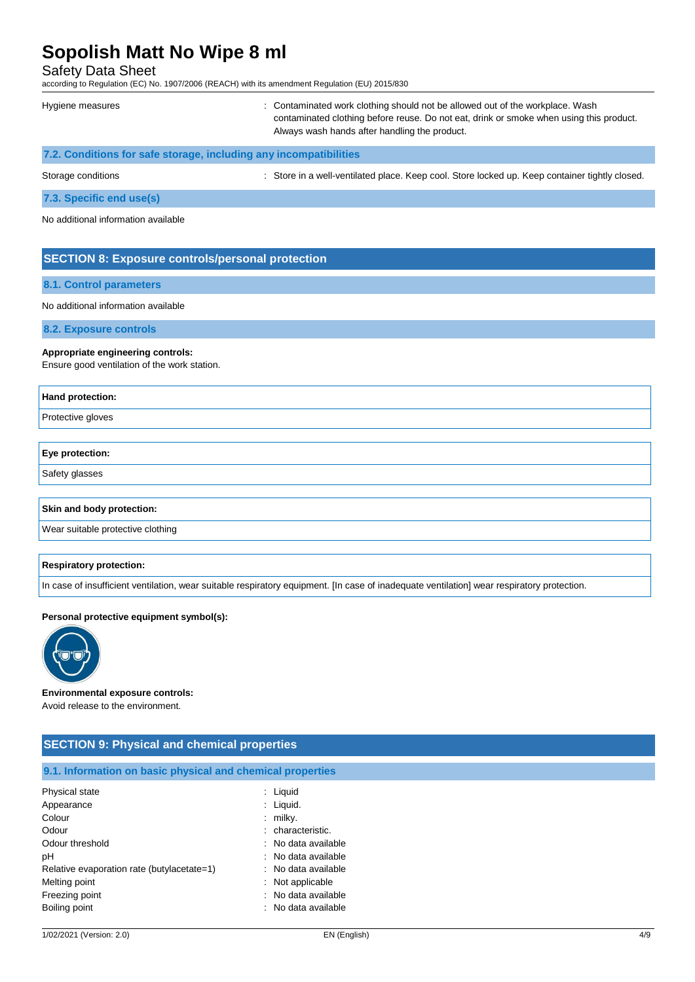Safety Data Sheet

according to Regulation (EC) No. 1907/2006 (REACH) with its amendment Regulation (EU) 2015/830

| Hygiene measures                                                  | : Contaminated work clothing should not be allowed out of the workplace. Wash<br>contaminated clothing before reuse. Do not eat, drink or smoke when using this product.<br>Always wash hands after handling the product. |
|-------------------------------------------------------------------|---------------------------------------------------------------------------------------------------------------------------------------------------------------------------------------------------------------------------|
| 7.2. Conditions for safe storage, including any incompatibilities |                                                                                                                                                                                                                           |

Storage conditions **in the state of the state of the Store in a well-ventilated place. Keep cool. Store locked up. Keep container tightly closed.** 

**7.3. Specific end use(s)**

No additional information available

### **SECTION 8: Exposure controls/personal protection**

#### **8.1. Control parameters**

No additional information available

**8.2. Exposure controls**

#### **Appropriate engineering controls:**

Ensure good ventilation of the work station.

# **Hand protection:** Protective gloves **Eye protection:**

Safety glasses

#### **Skin and body protection:**

Wear suitable protective clothing

#### **Respiratory protection:**

In case of insufficient ventilation, wear suitable respiratory equipment. [In case of inadequate ventilation] wear respiratory protection.

#### **Personal protective equipment symbol(s):**



**Environmental exposure controls:**

Avoid release to the environment.

| <b>SECTION 9: Physical and chemical properties</b>         |                     |  |
|------------------------------------------------------------|---------------------|--|
| 9.1. Information on basic physical and chemical properties |                     |  |
| Physical state                                             | $:$ Liquid          |  |
| Appearance                                                 | $:$ Liquid.         |  |
| Colour                                                     | $:$ milky.          |  |
| Odour                                                      | : characteristic.   |  |
| Odour threshold                                            | : No data available |  |
| pH                                                         | : No data available |  |
| Relative evaporation rate (butylacetate=1)                 | : No data available |  |
| Melting point                                              | $:$ Not applicable  |  |
| Freezing point                                             | : No data available |  |
| Boiling point                                              | No data available   |  |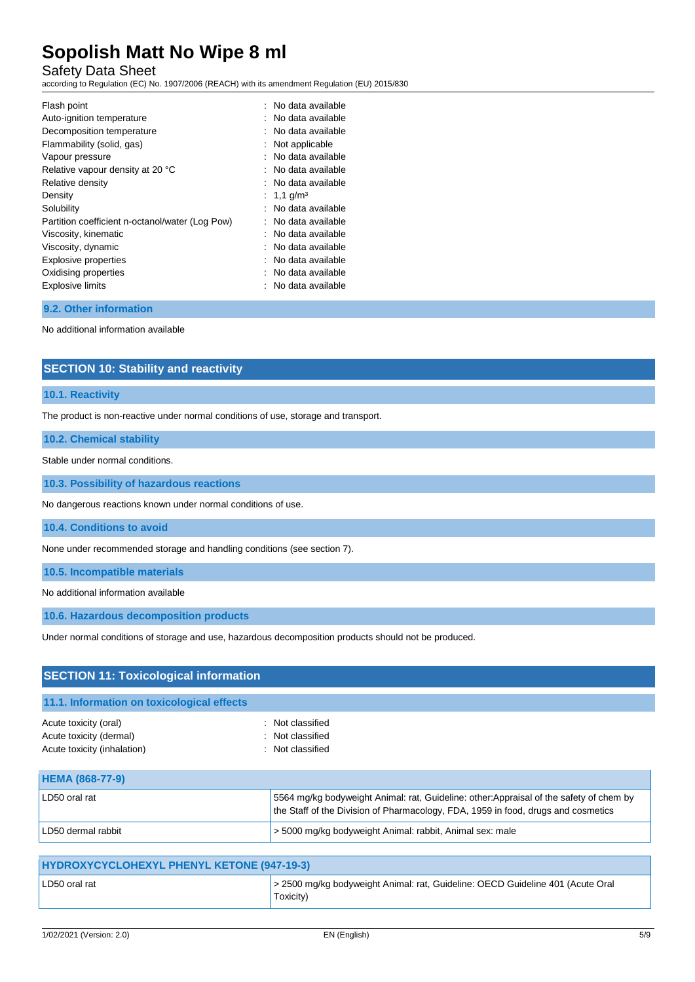# Safety Data Sheet

according to Regulation (EC) No. 1907/2006 (REACH) with its amendment Regulation (EU) 2015/830

| Flash point                                     | : No data available    |
|-------------------------------------------------|------------------------|
| Auto-ignition temperature                       | No data available      |
| Decomposition temperature                       | No data available      |
| Flammability (solid, gas)                       | Not applicable         |
| Vapour pressure                                 | No data available      |
| Relative vapour density at 20 °C                | : No data available    |
| Relative density                                | : No data available    |
| Density                                         | : 1,1 g/m <sup>3</sup> |
| Solubility                                      | No data available      |
| Partition coefficient n-octanol/water (Log Pow) | No data available      |
| Viscosity, kinematic                            | : No data available    |
| Viscosity, dynamic                              | No data available      |
| Explosive properties                            | No data available      |
| Oxidising properties                            | No data available      |
| <b>Explosive limits</b>                         | No data available      |

### **9.2. Other information**

No additional information available

## **SECTION 10: Stability and reactivity**

#### **10.1. Reactivity**

The product is non-reactive under normal conditions of use, storage and transport.

### **10.2. Chemical stability**

Stable under normal conditions.

**10.3. Possibility of hazardous reactions**

No dangerous reactions known under normal conditions of use.

**10.4. Conditions to avoid**

None under recommended storage and handling conditions (see section 7).

**10.5. Incompatible materials**

No additional information available

**10.6. Hazardous decomposition products**

Under normal conditions of storage and use, hazardous decomposition products should not be produced.

| <b>SECTION 11: Toxicological information</b>                                    |                                                                                                                                                                              |  |
|---------------------------------------------------------------------------------|------------------------------------------------------------------------------------------------------------------------------------------------------------------------------|--|
| 11.1. Information on toxicological effects                                      |                                                                                                                                                                              |  |
| Acute toxicity (oral)<br>Acute toxicity (dermal)<br>Acute toxicity (inhalation) | : Not classified<br>: Not classified<br>: Not classified                                                                                                                     |  |
| <b>HEMA (868-77-9)</b>                                                          |                                                                                                                                                                              |  |
| LD50 oral rat                                                                   | 5564 mg/kg bodyweight Animal: rat, Guideline: other: Appraisal of the safety of chem by<br>the Staff of the Division of Pharmacology, FDA, 1959 in food, drugs and cosmetics |  |
| LD50 dermal rabbit                                                              | > 5000 mg/kg bodyweight Animal: rabbit, Animal sex: male                                                                                                                     |  |

| > 2500 mg/kg bodyweight Animal: rat, Guideline: OECD Guideline 401 (Acute Oral<br>LD50 oral rat<br>Toxicity) | <b>HYDROXYCYCLOHEXYL PHENYL KETONE (947-19-3)</b> |  |  |
|--------------------------------------------------------------------------------------------------------------|---------------------------------------------------|--|--|
|                                                                                                              |                                                   |  |  |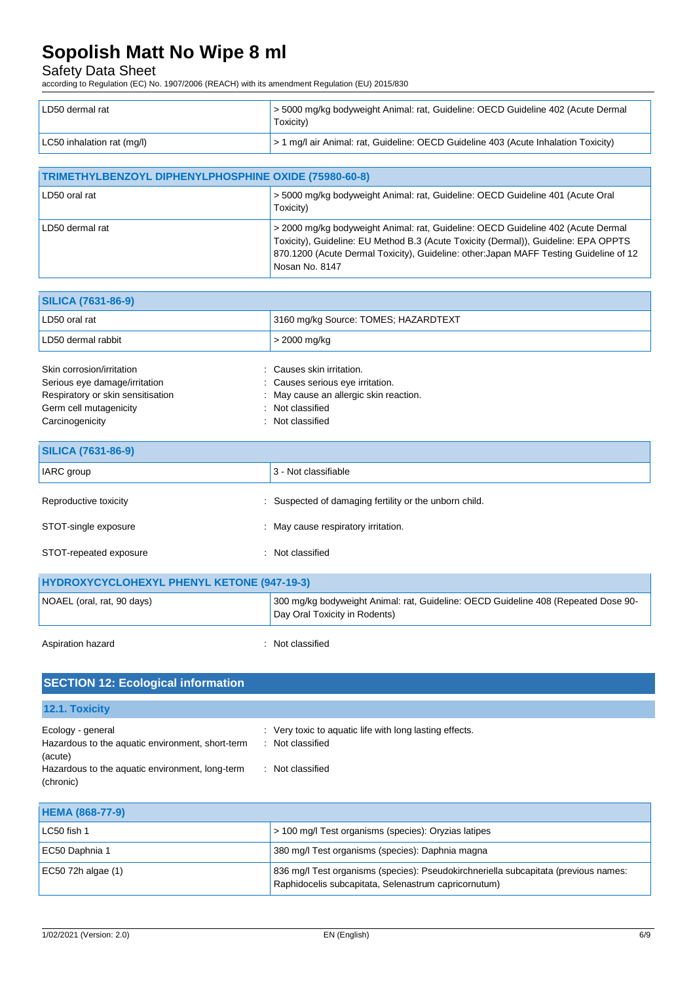# Safety Data Sheet

according to Regulation (EC) No. 1907/2006 (REACH) with its amendment Regulation (EU) 2015/830

| LD50 dermal rat            | S5000 mg/kg bodyweight Animal: rat, Guideline: OECD Guideline 402 (Acute Dermal<br>Toxicity) |
|----------------------------|----------------------------------------------------------------------------------------------|
| LC50 inhalation rat (mg/l) | > 1 mg/l air Animal: rat, Guideline: OECD Guideline 403 (Acute Inhalation Toxicity)          |

| TRIMETHYLBENZOYL DIPHENYLPHOSPHINE OXIDE (75980-60-8) |                                                                                                                                                                                                                                                                                     |  |
|-------------------------------------------------------|-------------------------------------------------------------------------------------------------------------------------------------------------------------------------------------------------------------------------------------------------------------------------------------|--|
| LD50 oral rat                                         | > 5000 mg/kg bodyweight Animal: rat, Guideline: OECD Guideline 401 (Acute Oral<br>Toxicity)                                                                                                                                                                                         |  |
| LD50 dermal rat                                       | > 2000 mg/kg bodyweight Animal: rat, Guideline: OECD Guideline 402 (Acute Dermal<br>Toxicity), Guideline: EU Method B.3 (Acute Toxicity (Dermal)), Guideline: EPA OPPTS<br>870.1200 (Acute Dermal Toxicity), Guideline: other: Japan MAFF Testing Guideline of 12<br>Nosan No. 8147 |  |

| <b>SILICA (7631-86-9)</b> |                                      |
|---------------------------|--------------------------------------|
| LD50 oral rat             | 3160 mg/kg Source: TOMES; HAZARDTEXT |
| LD50 dermal rabbit        | $\vert$ > 2000 mg/kg                 |
|                           |                                      |

| Skin corrosion/irritation         | Causes skin irritation.                |
|-----------------------------------|----------------------------------------|
| Serious eye damage/irritation     | : Causes serious eye irritation.       |
| Respiratory or skin sensitisation | : May cause an allergic skin reaction. |
| Germ cell mutagenicity            | : Not classified                       |
| Carcinogenicity                   | : Not classified                       |

| <b>SILICA (7631-86-9)</b>                         |                                                                                                                     |  |
|---------------------------------------------------|---------------------------------------------------------------------------------------------------------------------|--|
| IARC group                                        | 3 - Not classifiable                                                                                                |  |
| Reproductive toxicity                             | : Suspected of damaging fertility or the unborn child.                                                              |  |
| STOT-single exposure                              | : May cause respiratory irritation.                                                                                 |  |
| STOT-repeated exposure                            | : Not classified                                                                                                    |  |
| <b>HYDROXYCYCLOHEXYL PHENYL KETONE (947-19-3)</b> |                                                                                                                     |  |
| NOAEL (oral, rat, 90 days)                        | 300 mg/kg bodyweight Animal: rat, Guideline: OECD Guideline 408 (Repeated Dose 90-<br>Day Oral Toxicity in Rodents) |  |

| Aspiration hazard |  |
|-------------------|--|

: Not classified

| <b>SECTION 12: Ecological information</b>                                        |                                                                                       |
|----------------------------------------------------------------------------------|---------------------------------------------------------------------------------------|
| 12.1. Toxicity                                                                   |                                                                                       |
| Ecology - general<br>Hazardous to the aquatic environment, short-term<br>(acute) | : Very toxic to aquatic life with long lasting effects.<br>Not classified<br><b>.</b> |
| Hazardous to the aquatic environment, long-term<br>(chronic)                     | Not classified                                                                        |

| <b>HEMA (868-77-9)</b> |                                                                                                                                             |
|------------------------|---------------------------------------------------------------------------------------------------------------------------------------------|
| LC50 fish 1            | > 100 mg/l Test organisms (species): Oryzias latipes                                                                                        |
| EC50 Daphnia 1         | 380 mg/l Test organisms (species): Daphnia magna                                                                                            |
| EC50 72h algae $(1)$   | 836 mg/l Test organisms (species): Pseudokirchneriella subcapitata (previous names:<br>Raphidocelis subcapitata, Selenastrum capricornutum) |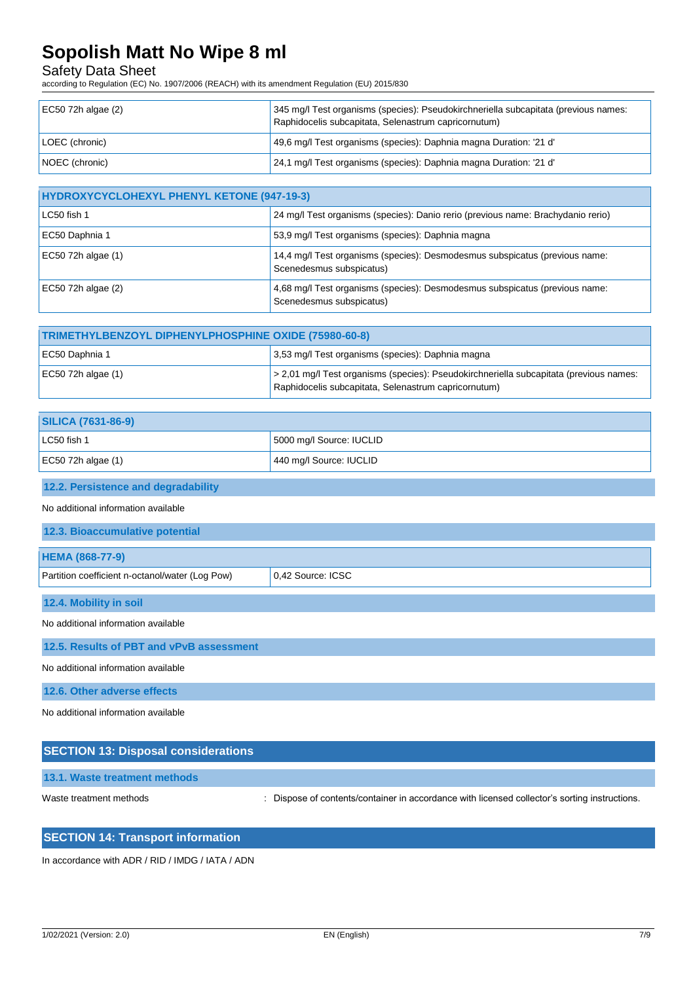# Safety Data Sheet

according to Regulation (EC) No. 1907/2006 (REACH) with its amendment Regulation (EU) 2015/830

| $EC50$ 72h algae (2) | 345 mg/l Test organisms (species): Pseudokirchneriella subcapitata (previous names:<br>Raphidocelis subcapitata, Selenastrum capricornutum) |
|----------------------|---------------------------------------------------------------------------------------------------------------------------------------------|
| LOEC (chronic)       | 49,6 mg/l Test organisms (species): Daphnia magna Duration: '21 d'                                                                          |
| NOEC (chronic)       | 24,1 mg/l Test organisms (species): Daphnia magna Duration: '21 d'                                                                          |

| <b>HYDROXYCYCLOHEXYL PHENYL KETONE (947-19-3)</b> |                                                                                                         |  |
|---------------------------------------------------|---------------------------------------------------------------------------------------------------------|--|
| LC50 fish 1                                       | 24 mg/l Test organisms (species): Danio rerio (previous name: Brachydanio rerio)                        |  |
| EC50 Daphnia 1                                    | 53,9 mg/l Test organisms (species): Daphnia magna                                                       |  |
| EC50 72h algae (1)                                | 14,4 mg/l Test organisms (species): Desmodesmus subspicatus (previous name:<br>Scenedesmus subspicatus) |  |
| EC50 72h algae (2)                                | 4,68 mg/l Test organisms (species): Desmodesmus subspicatus (previous name:<br>Scenedesmus subspicatus) |  |

| TRIMETHYLBENZOYL DIPHENYLPHOSPHINE OXIDE (75980-60-8) |                                                                                                                                                |
|-------------------------------------------------------|------------------------------------------------------------------------------------------------------------------------------------------------|
| EC50 Daphnia 1                                        | 3,53 mg/l Test organisms (species): Daphnia magna                                                                                              |
| EC50 72h algae $(1)$                                  | > 2,01 mg/l Test organisms (species): Pseudokirchneriella subcapitata (previous names:<br>Raphidocelis subcapitata, Selenastrum capricornutum) |

| <b>SILICA (7631-86-9)</b> |                          |
|---------------------------|--------------------------|
| LC50 fish 1               | 5000 mg/l Source: IUCLID |
| EC50 72h algae $(1)$      | 440 mg/l Source: IUCLID  |

#### **12.2. Persistence and degradability**

No additional information available

| <b>12.3. Bioaccumulative potential</b>          |                     |
|-------------------------------------------------|---------------------|
| <b>HEMA (868-77-9)</b>                          |                     |
| Partition coefficient n-octanol/water (Log Pow) | $0.42$ Source: ICSC |
|                                                 |                     |

**12.4. Mobility in soil**

No additional information available

**12.5. Results of PBT and vPvB assessment**

No additional information available

**12.6. Other adverse effects**

No additional information available

## **SECTION 13: Disposal considerations**

**13.1. Waste treatment methods**

Waste treatment methods : Dispose of contents/container in accordance with licensed collector's sorting instructions.

### **SECTION 14: Transport information**

In accordance with ADR / RID / IMDG / IATA / ADN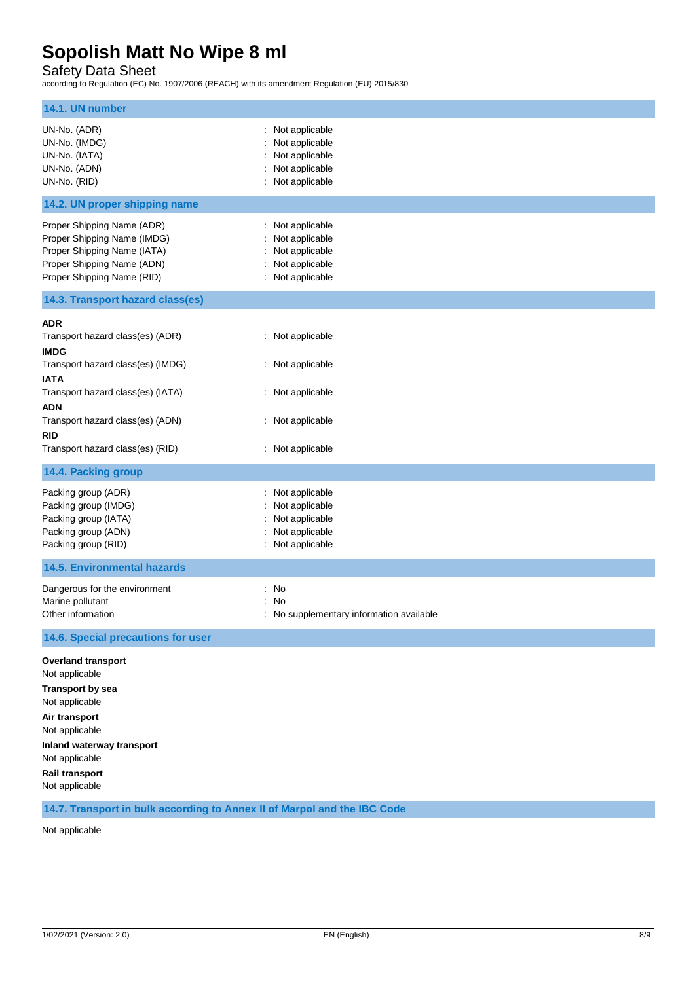Safety Data Sheet

according to Regulation (EC) No. 1907/2006 (REACH) with its amendment Regulation (EU) 2015/830

| 14.1. UN number                                                                                                                                                                                                |                                                                                                |
|----------------------------------------------------------------------------------------------------------------------------------------------------------------------------------------------------------------|------------------------------------------------------------------------------------------------|
| UN-No. (ADR)<br>UN-No. (IMDG)<br>UN-No. (IATA)<br>UN-No. (ADN)<br>UN-No. (RID)                                                                                                                                 | : Not applicable<br>Not applicable<br>: Not applicable<br>Not applicable<br>: Not applicable   |
| 14.2. UN proper shipping name                                                                                                                                                                                  |                                                                                                |
| Proper Shipping Name (ADR)<br>Proper Shipping Name (IMDG)<br>Proper Shipping Name (IATA)<br>Proper Shipping Name (ADN)<br>Proper Shipping Name (RID)                                                           | : Not applicable<br>Not applicable<br>: Not applicable<br>: Not applicable<br>: Not applicable |
| 14.3. Transport hazard class(es)                                                                                                                                                                               |                                                                                                |
| <b>ADR</b><br>Transport hazard class(es) (ADR)<br><b>IMDG</b><br>Transport hazard class(es) (IMDG)<br><b>IATA</b>                                                                                              | : Not applicable<br>: Not applicable                                                           |
| Transport hazard class(es) (IATA)<br><b>ADN</b><br>Transport hazard class(es) (ADN)<br><b>RID</b><br>Transport hazard class(es) (RID)                                                                          | : Not applicable<br>: Not applicable<br>: Not applicable                                       |
| 14.4. Packing group                                                                                                                                                                                            |                                                                                                |
| Packing group (ADR)<br>Packing group (IMDG)<br>Packing group (IATA)<br>Packing group (ADN)<br>Packing group (RID)                                                                                              | : Not applicable<br>: Not applicable<br>: Not applicable<br>Not applicable<br>: Not applicable |
| <b>14.5. Environmental hazards</b>                                                                                                                                                                             |                                                                                                |
| Dangerous for the environment<br>Marine pollutant<br>Other information                                                                                                                                         | : No<br>: No<br>No supplementary information available                                         |
| 14.6. Special precautions for user                                                                                                                                                                             |                                                                                                |
| <b>Overland transport</b><br>Not applicable<br><b>Transport by sea</b><br>Not applicable<br>Air transport<br>Not applicable<br>Inland waterway transport<br>Not applicable<br>Rail transport<br>Not applicable |                                                                                                |
| 14.7. Transport in bulk according to Annex II of Marpol and the IBC Code                                                                                                                                       |                                                                                                |

Not applicable